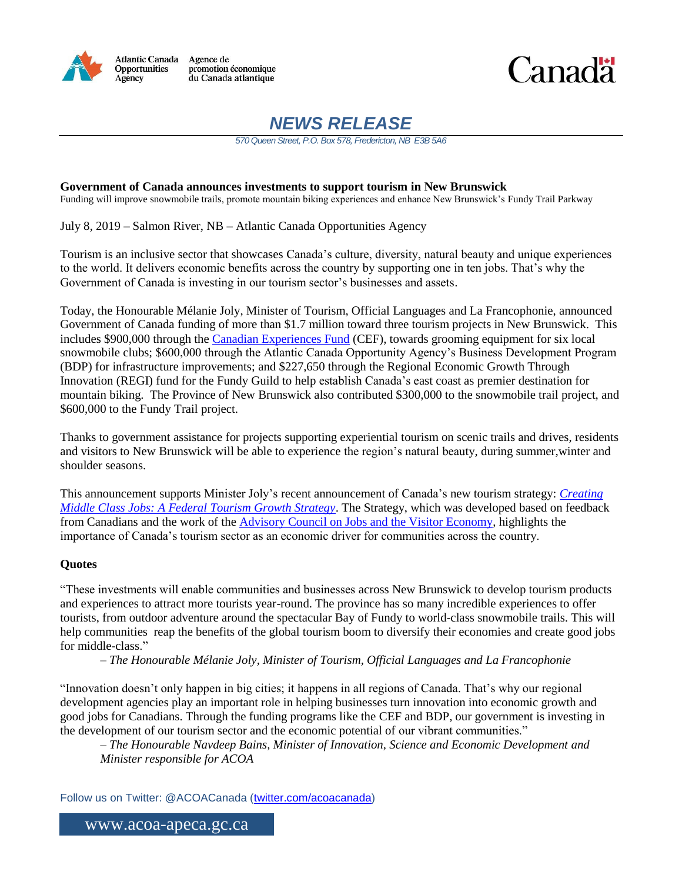

Atlantic Canada Agence de promotion économique<br>du Canada atlantique



# *NEWS RELEASE*

*570 Queen Street, P.O. Box 578, Fredericton, NB E3B 5A6*

**Government of Canada announces investments to support tourism in New Brunswick** Funding will improve snowmobile trails, promote mountain biking experiences and enhance New Brunswick's Fundy Trail Parkway

July 8, 2019 – Salmon River, NB – Atlantic Canada Opportunities Agency

Tourism is an inclusive sector that showcases Canada's culture, diversity, natural beauty and unique experiences to the world. It delivers economic benefits across the country by supporting one in ten jobs. That's why the Government of Canada is investing in our tourism sector's businesses and assets.

Today, the Honourable Mélanie Joly, Minister of Tourism, Official Languages and La Francophonie, announced Government of Canada funding of more than \$1.7 million toward three tourism projects in New Brunswick. This includes \$900,000 through the [Canadian Experiences Fund](http://www.ic.gc.ca/eic/site/134.nsf/eng/h_00002.html) (CEF), towards grooming equipment for six local snowmobile clubs; \$600,000 through the Atlantic Canada Opportunity Agency's Business Development Program (BDP) for infrastructure improvements; and \$227,650 through the Regional Economic Growth Through Innovation (REGI) fund for the Fundy Guild to help establish Canada's east coast as premier destination for mountain biking. The Province of New Brunswick also contributed \$300,000 to the snowmobile trail project, and \$600,000 to the Fundy Trail project.

Thanks to government assistance for projects supporting experiential tourism on scenic trails and drives, residents and visitors to New Brunswick will be able to experience the region's natural beauty, during summer,winter and shoulder seasons.

This announcement supports Minister Joly's recent announcement of Canada's new tourism strategy: *[Creating](http://www.ic.gc.ca/eic/site/134.nsf/eng/00003.html)  [Middle Class Jobs: A Federal Tourism Growth Strategy](http://www.ic.gc.ca/eic/site/134.nsf/eng/00003.html)*. The Strategy, which was developed based on feedback from Canadians and the work of the [Advisory Council on Jobs and the Visitor Economy,](https://www.ic.gc.ca/eic/site/134.nsf/eng/00001.html) highlights the importance of Canada's tourism sector as an economic driver for communities across the country.

## **Quotes**

"These investments will enable communities and businesses across New Brunswick to develop tourism products and experiences to attract more tourists year-round. The province has so many incredible experiences to offer tourists, from outdoor adventure around the spectacular Bay of Fundy to world-class snowmobile trails. This will help communities reap the benefits of the global tourism boom to diversify their economies and create good jobs for middle-class."

*– The Honourable Mélanie Joly, Minister of Tourism, Official Languages and La Francophonie*

"Innovation doesn't only happen in big cities; it happens in all regions of Canada. That's why our regional development agencies play an important role in helping businesses turn innovation into economic growth and good jobs for Canadians. Through the funding programs like the CEF and BDP, our government is investing in the development of our tourism sector and the economic potential of our vibrant communities."

*– The Honourable Navdeep Bains, Minister of Innovation, Science and Economic Development and Minister responsible for ACOA*

Follow us on Twitter: @ACOACanada [\(twitter.com/acoacanada\)](http://www.twitter.com/acoacanada)

www.acoa-apeca.gc.ca